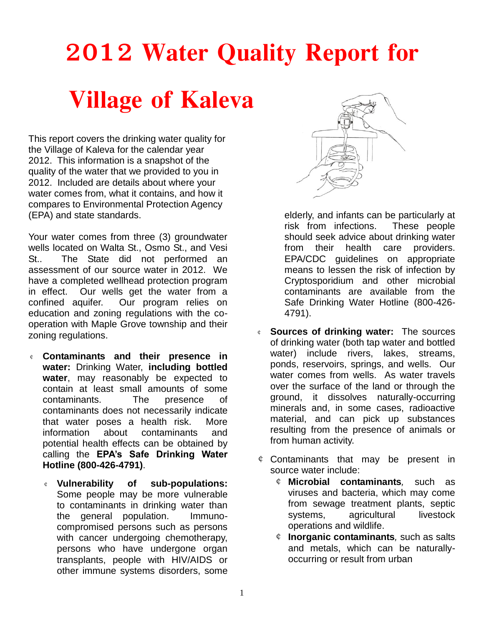# **2012 Water Quality Report for**

## **Village of Kaleva**

This report covers the drinking water quality for the Village of Kaleva for the calendar year 2012. This information is a snapshot of the quality of the water that we provided to you in 2012. Included are details about where your water comes from, what it contains, and how it compares to Environmental Protection Agency (EPA) and state standards.

Your water comes from three (3) groundwater wells located on Walta St., Osmo St., and Vesi St.. The State did not performed an assessment of our source water in 2012. We have a completed wellhead protection program in effect. Our wells get the water from a confined aquifer. Our program relies on education and zoning regulations with the cooperation with Maple Grove township and their zoning regulations.

- ¢ **Contaminants and their presence in water:** Drinking Water, **including bottled water**, may reasonably be expected to contain at least small amounts of some contaminants. The presence of contaminants does not necessarily indicate that water poses a health risk. More information about contaminants and potential health effects can be obtained by calling the **EPA's Safe Drinking Water Hotline (800-426-4791)**.
	- ¢ **Vulnerability of sub-populations:**  Some people may be more vulnerable to contaminants in drinking water than the general population. Immunocompromised persons such as persons with cancer undergoing chemotherapy, persons who have undergone organ transplants, people with HIV/AIDS or other immune systems disorders, some



elderly, and infants can be particularly at risk from infections. These people should seek advice about drinking water from their health care providers. EPA/CDC guidelines on appropriate means to lessen the risk of infection by Cryptosporidium and other microbial contaminants are available from the Safe Drinking Water Hotline (800-426- 4791).

- ¢ **Sources of drinking water:** The sources of drinking water (both tap water and bottled water) include rivers, lakes, streams, ponds, reservoirs, springs, and wells. Our water comes from wells. As water travels over the surface of the land or through the ground, it dissolves naturally-occurring minerals and, in some cases, radioactive material, and can pick up substances resulting from the presence of animals or from human activity.
- ¢ Contaminants that may be present in source water include:
	- ¢ **Microbial contaminants***,* such as viruses and bacteria, which may come from sewage treatment plants, septic systems, agricultural livestock operations and wildlife.
	- ¢ **Inorganic contaminants***,* such as salts and metals, which can be naturallyoccurring or result from urban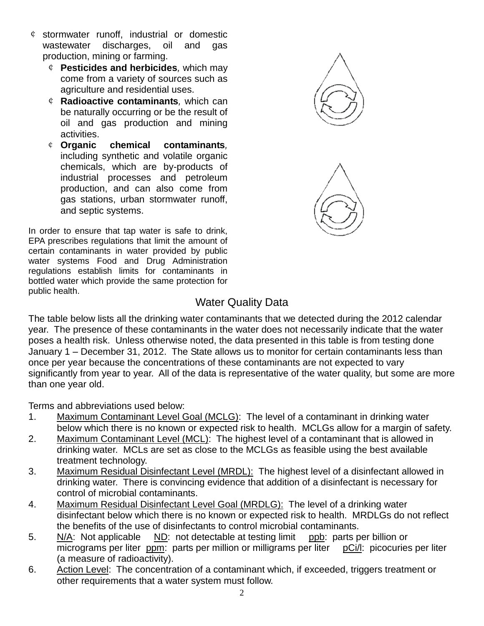- ¢ stormwater runoff, industrial or domestic wastewater discharges, oil and gas production, mining or farming.
	- ¢ **Pesticides and herbicides***,* which may come from a variety of sources such as agriculture and residential uses.
	- ¢ **Radioactive contaminants***,* which can be naturally occurring or be the result of oil and gas production and mining activities.
	- ¢ **Organic chemical contaminants***,*  including synthetic and volatile organic chemicals, which are by-products of industrial processes and petroleum production, and can also come from gas stations, urban stormwater runoff, and septic systems.

In order to ensure that tap water is safe to drink, EPA prescribes regulations that limit the amount of certain contaminants in water provided by public water systems Food and Drug Administration regulations establish limits for contaminants in bottled water which provide the same protection for public health.



## Water Quality Data

The table below lists all the drinking water contaminants that we detected during the 2012 calendar year. The presence of these contaminants in the water does not necessarily indicate that the water poses a health risk. Unless otherwise noted, the data presented in this table is from testing done January 1 – December 31, 2012. The State allows us to monitor for certain contaminants less than once per year because the concentrations of these contaminants are not expected to vary significantly from year to year. All of the data is representative of the water quality, but some are more than one year old.

Terms and abbreviations used below:

- 1. Maximum Contaminant Level Goal (MCLG): The level of a contaminant in drinking water below which there is no known or expected risk to health. MCLGs allow for a margin of safety.
- 2. Maximum Contaminant Level (MCL): The highest level of a contaminant that is allowed in drinking water. MCLs are set as close to the MCLGs as feasible using the best available treatment technology.
- 3. Maximum Residual Disinfectant Level (MRDL): The highest level of a disinfectant allowed in drinking water. There is convincing evidence that addition of a disinfectant is necessary for control of microbial contaminants.
- 4. Maximum Residual Disinfectant Level Goal (MRDLG): The level of a drinking water disinfectant below which there is no known or expected risk to health. MRDLGs do not reflect the benefits of the use of disinfectants to control microbial contaminants.
- 5. N/A: Not applicable ND: not detectable at testing limit ppb: parts per billion or micrograms per liter ppm: parts per million or milligrams per liter pCi/l: picocuries per liter (a measure of radioactivity).
- 6. Action Level: The concentration of a contaminant which, if exceeded, triggers treatment or other requirements that a water system must follow.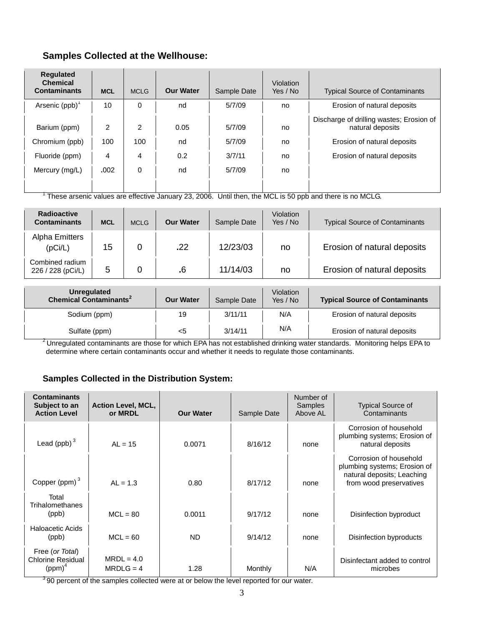### **Samples Collected at the Wellhouse:**

| <b>Regulated</b><br><b>Chemical</b><br><b>Contaminants</b>         | <b>MCL</b>                         | <b>MCLG</b>        | <b>Our Water</b>        | Sample Date                          | Violation<br>Yes / No | <b>Typical Source of Contaminants</b>                                                                                      |
|--------------------------------------------------------------------|------------------------------------|--------------------|-------------------------|--------------------------------------|-----------------------|----------------------------------------------------------------------------------------------------------------------------|
| Arsenic $(ppb)^T$                                                  | 10                                 | 0                  | nd                      | 5/7/09                               | no                    | Erosion of natural deposits                                                                                                |
| Barium (ppm)<br>Chromium (ppb)<br>Fluoride (ppm)<br>Mercury (mg/L) | $\mathfrak{p}$<br>100<br>4<br>.002 | 2<br>100<br>4<br>0 | 0.05<br>nd<br>0.2<br>nd | 5/7/09<br>5/7/09<br>3/7/11<br>5/7/09 | no<br>no<br>no<br>no  | Discharge of drilling wastes; Erosion of<br>natural deposits<br>Erosion of natural deposits<br>Erosion of natural deposits |

 $1$  These arsenic values are effective January 23, 2006. Until then, the MCL is 50 ppb and there is no MCLG.

| <b>Radioactive</b><br><b>Contaminants</b> | <b>MCL</b> | <b>MCLG</b> | <b>Our Water</b> | Sample Date | Violation<br>Yes / No | <b>Typical Source of Contaminants</b> |
|-------------------------------------------|------------|-------------|------------------|-------------|-----------------------|---------------------------------------|
| Alpha Emitters<br>(pCi/L)                 | 15         |             | .22              | 12/23/03    | no                    | Erosion of natural deposits           |
| Combined radium<br>226 / 228 (pCi/L)      | 5          |             | .6               | 11/14/03    | no                    | Erosion of natural deposits           |

| Unregulated<br>Chemical Contaminants <sup>2</sup> | <b>Our Water</b> | Sample Date | Violation<br>Yes / No | <b>Typical Source of Contaminants</b> |
|---------------------------------------------------|------------------|-------------|-----------------------|---------------------------------------|
| Sodium (ppm)                                      | 19               | 3/11/11     | N/A                   | Erosion of natural deposits           |
| Sulfate (ppm)                                     | <5               | 3/14/11     | N/A                   | Erosion of natural deposits           |

<sup>2</sup> Unregulated contaminants are those for which EPA has not established drinking water standards. Monitoring helps EPA to determine where certain contaminants occur and whether it needs to regulate those contaminants.

#### **Samples Collected in the Distribution System:**

| <b>Contaminants</b><br>Subject to an<br><b>Action Level</b> | <b>Action Level, MCL,</b><br>or MRDL | <b>Our Water</b> | Sample Date | Number of<br>Samples<br>Above AL | <b>Typical Source of</b><br>Contaminants                                                                        |
|-------------------------------------------------------------|--------------------------------------|------------------|-------------|----------------------------------|-----------------------------------------------------------------------------------------------------------------|
| Lead (ppb) $3$                                              | $AL = 15$                            | 0.0071           | 8/16/12     | none                             | Corrosion of household<br>plumbing systems; Erosion of<br>natural deposits                                      |
| Copper (ppm) $3$                                            | $AL = 1.3$                           | 0.80             | 8/17/12     | none                             | Corrosion of household<br>plumbing systems; Erosion of<br>natural deposits; Leaching<br>from wood preservatives |
| Total<br>Trihalomethanes<br>(ppb)                           | $MCL = 80$                           | 0.0011           | 9/17/12     | none                             | Disinfection byproduct                                                                                          |
| Haloacetic Acids<br>(ppb)                                   | $MCL = 60$                           | <b>ND</b>        | 9/14/12     | none                             | Disinfection byproducts                                                                                         |
| Free (or Total)<br><b>Chlorine Residual</b><br>$(ppm)^4$    | $MRDL = 4.0$<br>$MRDLG = 4$          | 1.28             | Monthly     | N/A                              | Disinfectant added to control<br>microbes                                                                       |

<sup>3</sup>90 percent of the samples collected were at or below the level reported for our water.